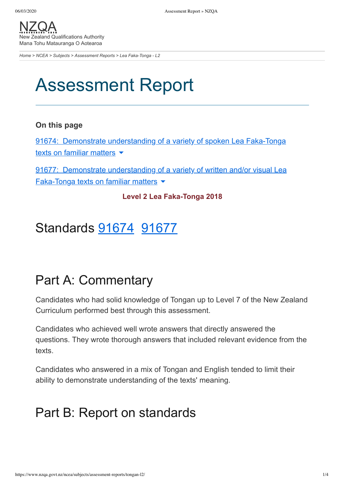[NZQA](https://www.nzqa.govt.nz/) Zealand Qualifications Authority Mana Tohu Matauranga O Aotearoa

*[Home](https://www.nzqa.govt.nz/home) > [NCEA](https://www.nzqa.govt.nz/ncea/) > [Subjects](https://www.nzqa.govt.nz/ncea/subjects/) > [Assessment Reports](https://www.nzqa.govt.nz/ncea/subjects/assessment-reports/) > Lea Faka-Tonga - L2*

# Assessment Report

### **On this page**

91674: Demonstrate [understanding](https://www.nzqa.govt.nz/ncea/subjects/assessment-reports/tongan-l2/#heading2-0) of a variety of spoken Lea Faka-Tonga texts on familiar matters  $\blacktriangleright$ 

91677: Demonstrate [understanding](https://www.nzqa.govt.nz/ncea/subjects/assessment-reports/tongan-l2/#heading2-1) of a variety of written and/or visual Lea Faka-Tonga texts on familiar matters  $\blacktriangleright$ 

### **Level 2 Lea Faka-Tonga 2018**

### Standards [91674](https://www.nzqa.govt.nz/ncea/subjects/assessment-reports/tongan-l2/#91674) [91677](https://www.nzqa.govt.nz/ncea/subjects/assessment-reports/tongan-l2/#91677)

## Part A: Commentary

Candidates who had solid knowledge of Tongan up to Level 7 of the New Zealand Curriculum performed best through this assessment.

Candidates who achieved well wrote answers that directly answered the questions. They wrote thorough answers that included relevant evidence from the texts.

Candidates who answered in a mix of Tongan and English tended to limit their ability to demonstrate understanding of the texts' meaning.

## Part B: Report on standards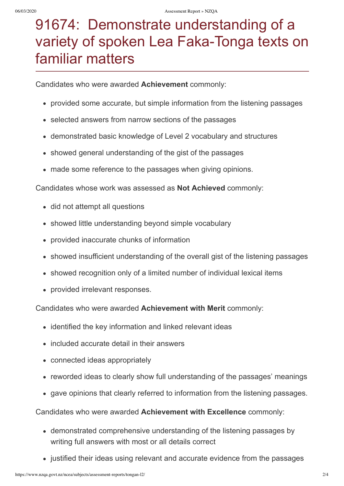## 91674: Demonstrate understanding of a variety of spoken Lea Faka-Tonga texts on familiar matters

Candidates who were awarded **Achievement** commonly:

- provided some accurate, but simple information from the listening passages
- selected answers from narrow sections of the passages
- demonstrated basic knowledge of Level 2 vocabulary and structures
- showed general understanding of the gist of the passages
- made some reference to the passages when giving opinions.

#### Candidates whose work was assessed as **Not Achieved** commonly:

- did not attempt all questions
- showed little understanding beyond simple vocabulary
- provided inaccurate chunks of information  $\bullet$
- showed insufficient understanding of the overall gist of the listening passages
- showed recognition only of a limited number of individual lexical items
- provided irrelevant responses.

#### Candidates who were awarded **Achievement with Merit** commonly:

- identified the key information and linked relevant ideas
- included accurate detail in their answers
- connected ideas appropriately
- reworded ideas to clearly show full understanding of the passages' meanings
- gave opinions that clearly referred to information from the listening passages.

Candidates who were awarded **Achievement with Excellence** commonly:

- demonstrated comprehensive understanding of the listening passages by writing full answers with most or all details correct
- justified their ideas using relevant and accurate evidence from the passages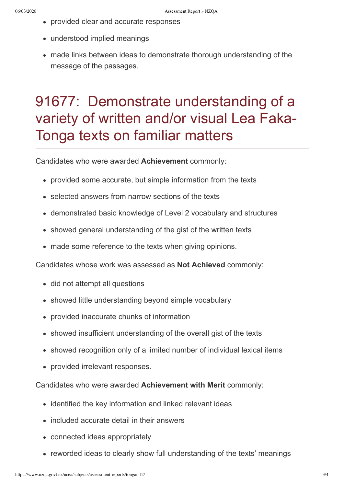- provided clear and accurate responses
- understood implied meanings
- made links between ideas to demonstrate thorough understanding of the message of the passages.

## 91677: Demonstrate understanding of a variety of written and/or visual Lea Faka-Tonga texts on familiar matters

Candidates who were awarded **Achievement** commonly:

- provided some accurate, but simple information from the texts
- selected answers from narrow sections of the texts
- demonstrated basic knowledge of Level 2 vocabulary and structures
- showed general understanding of the gist of the written texts
- made some reference to the texts when giving opinions.

Candidates whose work was assessed as **Not Achieved** commonly:

- did not attempt all questions
- showed little understanding beyond simple vocabulary
- provided inaccurate chunks of information
- showed insufficient understanding of the overall gist of the texts
- showed recognition only of a limited number of individual lexical items
- provided irrelevant responses.

Candidates who were awarded **Achievement with Merit** commonly:

- identified the key information and linked relevant ideas
- included accurate detail in their answers
- connected ideas appropriately
- reworded ideas to clearly show full understanding of the texts' meanings